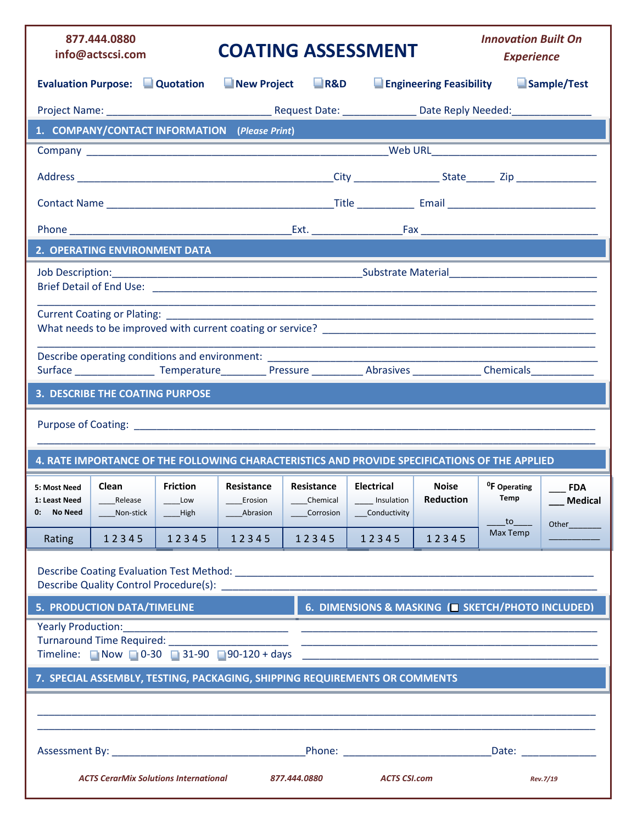|                                             | 877.444.0880<br>info@actscsi.com             |                                     |                                               |                                     | <b>COATING ASSESSMENT</b>                                                                                                                                                                                                     |                                  | <b>Innovation Built On</b><br><b>Experience</b> |                          |
|---------------------------------------------|----------------------------------------------|-------------------------------------|-----------------------------------------------|-------------------------------------|-------------------------------------------------------------------------------------------------------------------------------------------------------------------------------------------------------------------------------|----------------------------------|-------------------------------------------------|--------------------------|
|                                             | <b>Evaluation Purpose: Quotation</b>         |                                     | New Project                                   | R&D                                 |                                                                                                                                                                                                                               | <b>Engineering Feasibility</b>   |                                                 | Sample/Test              |
|                                             |                                              |                                     |                                               |                                     |                                                                                                                                                                                                                               |                                  |                                                 |                          |
|                                             |                                              |                                     | 1. COMPANY/CONTACT INFORMATION (Please Print) |                                     |                                                                                                                                                                                                                               |                                  |                                                 |                          |
|                                             |                                              |                                     |                                               |                                     |                                                                                                                                                                                                                               |                                  |                                                 |                          |
|                                             |                                              |                                     |                                               |                                     |                                                                                                                                                                                                                               |                                  |                                                 |                          |
|                                             |                                              |                                     |                                               |                                     |                                                                                                                                                                                                                               |                                  |                                                 |                          |
|                                             |                                              |                                     |                                               |                                     |                                                                                                                                                                                                                               |                                  |                                                 |                          |
|                                             | 2. OPERATING ENVIRONMENT DATA                |                                     |                                               |                                     |                                                                                                                                                                                                                               |                                  |                                                 |                          |
|                                             |                                              |                                     |                                               |                                     |                                                                                                                                                                                                                               |                                  |                                                 |                          |
|                                             |                                              |                                     |                                               |                                     |                                                                                                                                                                                                                               |                                  |                                                 |                          |
|                                             |                                              |                                     |                                               |                                     | Describe operating conditions and environment: _________________________________                                                                                                                                              |                                  |                                                 |                          |
|                                             | <b>3. DESCRIBE THE COATING PURPOSE</b>       |                                     |                                               |                                     |                                                                                                                                                                                                                               |                                  |                                                 |                          |
|                                             |                                              |                                     |                                               |                                     | Purpose of Coating: Note that the contract of the contract of the contract of the contract of the contract of the contract of the contract of the contract of the contract of the contract of the contract of the contract of |                                  |                                                 |                          |
|                                             |                                              |                                     |                                               |                                     | 4. RATE IMPORTANCE OF THE FOLLOWING CHARACTERISTICS AND PROVIDE SPECIFICATIONS OF THE APPLIED                                                                                                                                 |                                  |                                                 |                          |
| 5: Most Need<br>1: Least Need<br>0: No Need | Clean<br>Release<br>Non-stick                | <b>Friction</b><br>Low<br>$__$ High | Resistance<br>Erosion<br>Abrasion             | Resistance<br>Chemical<br>Corrosion | <b>Electrical</b><br>Insulation<br>Conductivity                                                                                                                                                                               | <b>Noise</b><br><b>Reduction</b> | <sup>0</sup> F Operating<br>Temp                | <b>FDA</b><br>__ Medical |
| Rating                                      | 12345                                        | 12345                               | 12345                                         | 12345                               | 12345                                                                                                                                                                                                                         | 12345                            | Max Temp                                        | Other                    |
|                                             |                                              |                                     |                                               |                                     |                                                                                                                                                                                                                               |                                  |                                                 |                          |
|                                             | <b>5. PRODUCTION DATA/TIMELINE</b>           |                                     |                                               |                                     | 6. DIMENSIONS & MASKING (E SKETCH/PHOTO INCLUDED)                                                                                                                                                                             |                                  |                                                 |                          |
| Yearly Production:                          |                                              |                                     |                                               |                                     |                                                                                                                                                                                                                               |                                  |                                                 |                          |
|                                             |                                              |                                     |                                               |                                     | 7. SPECIAL ASSEMBLY, TESTING, PACKAGING, SHIPPING REQUIREMENTS OR COMMENTS                                                                                                                                                    |                                  |                                                 |                          |
|                                             |                                              |                                     |                                               |                                     |                                                                                                                                                                                                                               |                                  |                                                 |                          |
|                                             |                                              |                                     |                                               |                                     |                                                                                                                                                                                                                               |                                  |                                                 |                          |
|                                             | <b>ACTS CerarMix Solutions International</b> |                                     |                                               | 877.444.0880                        | <b>ACTS CSI.com</b>                                                                                                                                                                                                           |                                  |                                                 | Rev.7/19                 |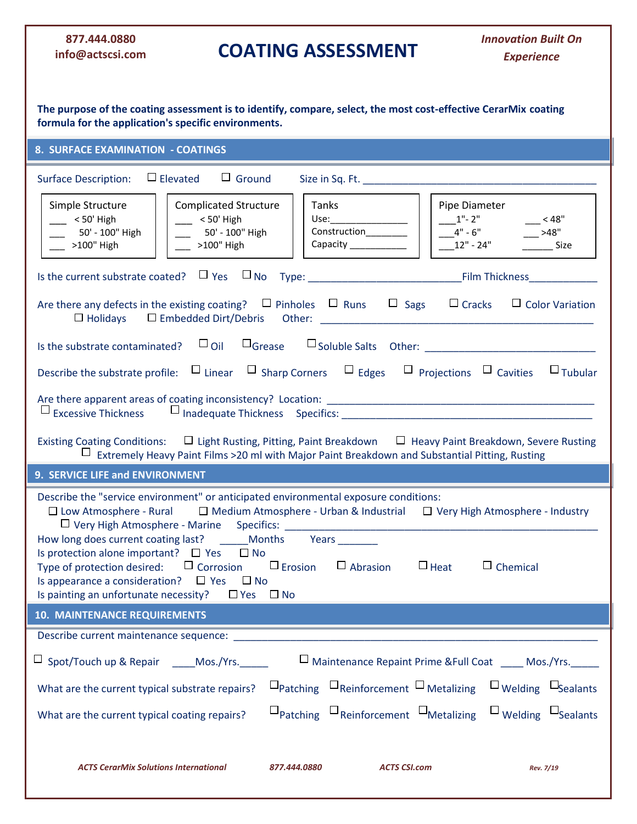## **877.444.0880 info@actscsi.com**

## **COATING ASSESSMENT**

| The purpose of the coating assessment is to identify, compare, select, the most cost-effective CerarMix coating<br>formula for the application's specific environments.                                                                                                                                                                                                                                                                                                                                                                            |                                                                                                                                                   |                                                         |                                                              |
|----------------------------------------------------------------------------------------------------------------------------------------------------------------------------------------------------------------------------------------------------------------------------------------------------------------------------------------------------------------------------------------------------------------------------------------------------------------------------------------------------------------------------------------------------|---------------------------------------------------------------------------------------------------------------------------------------------------|---------------------------------------------------------|--------------------------------------------------------------|
| <b>8. SURFACE EXAMINATION - COATINGS</b>                                                                                                                                                                                                                                                                                                                                                                                                                                                                                                           |                                                                                                                                                   |                                                         |                                                              |
| $\Box$ Elevated $\Box$ Ground<br><b>Surface Description:</b>                                                                                                                                                                                                                                                                                                                                                                                                                                                                                       |                                                                                                                                                   |                                                         |                                                              |
| Simple Structure<br><b>Complicated Structure</b><br>$\sim$ < 50' High<br>$- 50'$ High<br>50' - 100" High<br>50' - 100" High<br>$-$ >100" High<br>$-$ >100" High                                                                                                                                                                                                                                                                                                                                                                                    | Tanks<br>Use:____________________<br>Construction________<br>Capacity _____________                                                               | Pipe Diameter<br>$1"$ - 2"<br>$-4" - 6"$<br>$12" - 24"$ | $-$ < 48"<br>$-$ >48"<br>$\frac{1}{2}$ Size                  |
|                                                                                                                                                                                                                                                                                                                                                                                                                                                                                                                                                    |                                                                                                                                                   |                                                         |                                                              |
| Are there any defects in the existing coating? $\Box$ Pinholes $\Box$ Runs $\Box$ Sags $\Box$ Cracks                                                                                                                                                                                                                                                                                                                                                                                                                                               |                                                                                                                                                   |                                                         | $\Box$ Color Variation                                       |
|                                                                                                                                                                                                                                                                                                                                                                                                                                                                                                                                                    |                                                                                                                                                   |                                                         |                                                              |
| Describe the substrate profile: $\Box$ Linear $\Box$ Sharp Corners $\Box$ Edges $\Box$ Projections $\Box$ Cavities $\Box$ Tubular                                                                                                                                                                                                                                                                                                                                                                                                                  |                                                                                                                                                   |                                                         |                                                              |
| Existing Coating Conditions: $\Box$ Light Rusting, Pitting, Paint Breakdown $\Box$ Heavy Paint Breakdown, Severe Rusting<br>Extremely Heavy Paint Films >20 ml with Major Paint Breakdown and Substantial Pitting, Rusting                                                                                                                                                                                                                                                                                                                         |                                                                                                                                                   |                                                         |                                                              |
| 9. SERVICE LIFE and ENVIRONMENT                                                                                                                                                                                                                                                                                                                                                                                                                                                                                                                    |                                                                                                                                                   |                                                         |                                                              |
| Describe the "service environment" or anticipated environmental exposure conditions:<br>$\Box$ Low Atmosphere - Rural $\Box$ Medium Atmosphere - Urban & Industrial $\Box$ Very High Atmosphere - Industry<br>□ Very High Atmosphere - Marine Specifics: _____________<br>How long does current coating last? _______ Months<br>Is protection alone important? $\Box$ Yes $\Box$ No<br>Type of protection desired: $\Box$ Corrosion $\Box$ Erosion<br>Is appearance a consideration? $\Box$ Yes $\Box$ No<br>Is painting an unfortunate necessity? | Years<br>$\Box$ Abrasion<br>$\Box$ Yes $\Box$ No                                                                                                  | $\Box$ Heat                                             | $\Box$ Chemical                                              |
| <b>10. MAINTENANCE REQUIREMENTS</b>                                                                                                                                                                                                                                                                                                                                                                                                                                                                                                                |                                                                                                                                                   |                                                         |                                                              |
| Describe current maintenance sequence:                                                                                                                                                                                                                                                                                                                                                                                                                                                                                                             |                                                                                                                                                   |                                                         |                                                              |
| $\Box$ Spot/Touch up & Repair $\Box$ Mos./Yrs.                                                                                                                                                                                                                                                                                                                                                                                                                                                                                                     |                                                                                                                                                   |                                                         | □ Maintenance Repaint Prime & Full Coat _____ Mos./Yrs._____ |
| What are the current typical substrate repairs?                                                                                                                                                                                                                                                                                                                                                                                                                                                                                                    | $\Box$ Patching $\Box$ Reinforcement $\Box$ Metalizing $\Box$ Welding $\Box$ Sealants                                                             |                                                         |                                                              |
| What are the current typical coating repairs?                                                                                                                                                                                                                                                                                                                                                                                                                                                                                                      | $\square_{\text{Patching}}$ $\square_{\text{Reinforcement}}$ $\square_{\text{Metalizing}}$ $\square_{\text{Welding}}$ $\square_{\text{Sealants}}$ |                                                         |                                                              |
| <b>ACTS CerarMix Solutions International</b>                                                                                                                                                                                                                                                                                                                                                                                                                                                                                                       | 877.444.0880                                                                                                                                      | <b>ACTS CSI.com</b>                                     | Rev. 7/19                                                    |